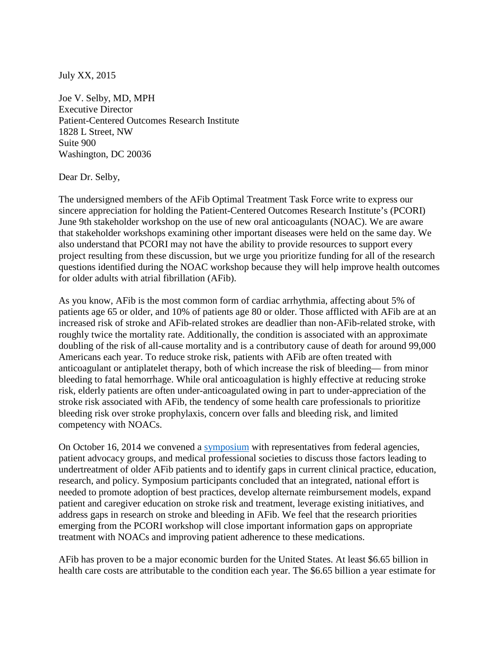July XX, 2015

Joe V. Selby, MD, MPH Executive Director Patient-Centered Outcomes Research Institute 1828 L Street, NW Suite 900 Washington, DC 20036

Dear Dr. Selby,

The undersigned members of the AFib Optimal Treatment Task Force write to express our sincere appreciation for holding the Patient-Centered Outcomes Research Institute's (PCORI) June 9th stakeholder workshop on the use of new oral anticoagulants (NOAC). We are aware that stakeholder workshops examining other important diseases were held on the same day. We also understand that PCORI may not have the ability to provide resources to support every project resulting from these discussion, but we urge you prioritize funding for all of the research questions identified during the NOAC workshop because they will help improve health outcomes for older adults with atrial fibrillation (AFib).

As you know, AFib is the most common form of cardiac arrhythmia, affecting about 5% of patients age 65 or older, and 10% of patients age 80 or older. Those afflicted with AFib are at an increased risk of stroke and AFib-related strokes are deadlier than non-AFib-related stroke, with roughly twice the mortality rate. Additionally, the condition is associated with an approximate doubling of the risk of all-cause mortality and is a contributory cause of death for around 99,000 Americans each year. To reduce stroke risk, patients with AFib are often treated with anticoagulant or antiplatelet therapy, both of which increase the risk of bleeding— from minor bleeding to fatal hemorrhage. While oral anticoagulation is highly effective at reducing stroke risk, elderly patients are often under-anticoagulated owing in part to under-appreciation of the stroke risk associated with AFib, the tendency of some health care professionals to prioritize bleeding risk over stroke prophylaxis, concern over falls and bleeding risk, and limited competency with NOACs.

On October 16, 2014 we convened a [symposium](http://www.agingresearch.org/publications/view/126#.Vbfn7o3JA-4) with representatives from federal agencies, patient advocacy groups, and medical professional societies to discuss those factors leading to undertreatment of older AFib patients and to identify gaps in current clinical practice, education, research, and policy. Symposium participants concluded that an integrated, national effort is needed to promote adoption of best practices, develop alternate reimbursement models, expand patient and caregiver education on stroke risk and treatment, leverage existing initiatives, and address gaps in research on stroke and bleeding in AFib. We feel that the research priorities emerging from the PCORI workshop will close important information gaps on appropriate treatment with NOACs and improving patient adherence to these medications.

AFib has proven to be a major economic burden for the United States. At least \$6.65 billion in health care costs are attributable to the condition each year. The \$6.65 billion a year estimate for